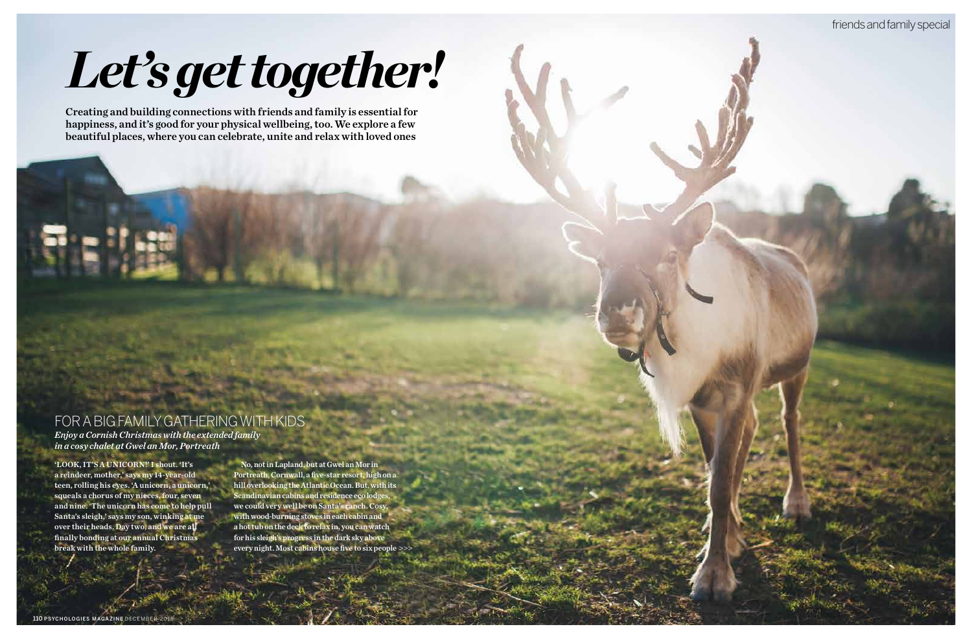

'LOOK, IT'S A UNICORN!' I shout. 'It's a reindeer, mother,' says my 14-year-old teen, rolling his eyes. 'A unicorn, a unicorn,' squeals a chorus of my nieces, four, seven and nine. 'The unicorn has come to help pull Santa's sleigh,' says my son, winking at me over their heads. Day two, and we are all finally bonding at our annual Christmas break with the whole family.

>>> every night. Most cabins house five to six people, No, not in Lapland, but at Gwel an Mor in Portreath, Cornwall, a five-star resort, high on a hill overlooking the Atlantic Ocean. But, with its Scandinavian cabins and residence eco lodges, we could very well be on Santa's ranch. Cosy, with wood-burning stoves in each cabin and a hot tub on the deck to relax in, you can watch for his sleigh's progress in the dark sky above

### FOR A BIG FAMILY GATHERING WITH KIDS

*Enjoy a Cornish Christmas with the extended family in a cosy chalet at Gwel an Mor, Portreath*

# *Let's get together!*

Creating and building connections with friends and family is essential for happiness, and it's good for your physical wellbeing, too. We explore a few beautiful places, where you can celebrate, unite and relax with loved ones